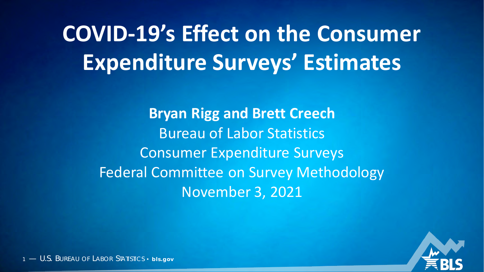**COVID-19's Effect on the Consumer Expenditure Surveys' Estimates**

> **Bryan Rigg and Brett Creech** Bureau of Labor Statistics Consumer Expenditure Surveys Federal Committee on Survey Methodology November 3, 2021

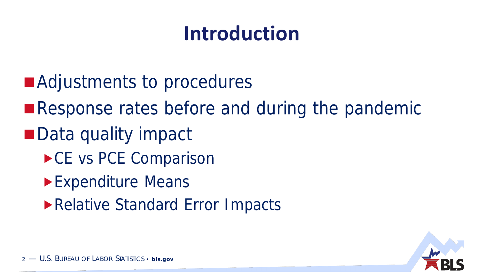## **Introduction**

- ■Adjustments to procedures
- ■Response rates before and during the pandemic
- Data quality impact
	- ▶ CE vs PCE Comparison
	- **Expenditure Means**
	- Relative Standard Error Impacts

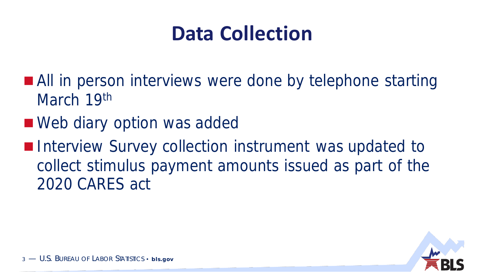## **Data Collection**

- **All in person interviews were done by telephone starting** March 19th
- Web diary option was added
- **Interview Survey collection instrument was updated to** collect stimulus payment amounts issued as part of the 2020 CARES act

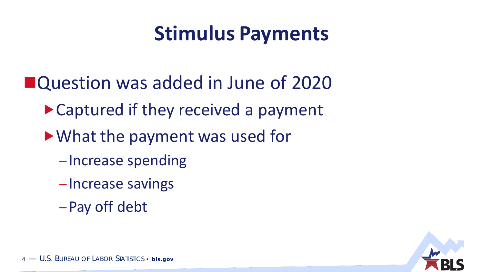## **Stimulus Payments**

- ■Question was added in June of 2020
	- ▶ Captured if they received a payment
	- What the payment was used for
		- Increase spending
		- Increase savings
		- –Pay off debt

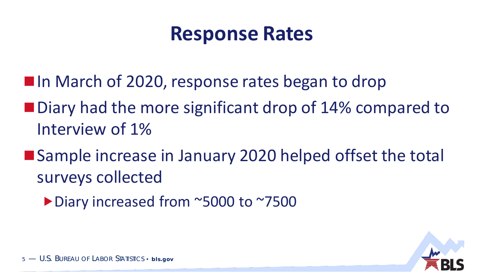### **Response Rates**

- **In March of 2020, response rates began to drop**
- Diary had the more significant drop of 14% compared to Interview of 1%
- Sample increase in January 2020 helped offset the total surveys collected
	- Diary increased from ~5000 to ~7500

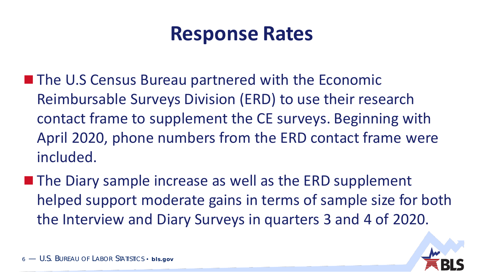### **Response Rates**

- **The U.S Census Bureau partnered with the Economic** Reimbursable Surveys Division (ERD) to use their research contact frame to supplement the CE surveys. Beginning with April 2020, phone numbers from the ERD contact frame were included.
- $\blacksquare$  The Diary sample increase as well as the ERD supplement helped support moderate gains in terms of sample size for both the Interview and Diary Surveys in quarters 3 and 4 of 2020.

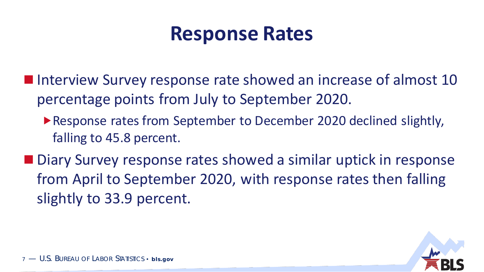### **Response Rates**

- Interview Survey response rate showed an increase of almost 10 percentage points from July to September 2020.
	- ▶ Response rates from September to December 2020 declined slightly, falling to 45.8 percent.
- Diary Survey response rates showed a similar uptick in response from April to September 2020, with response rates then falling slightly to 33.9 percent.

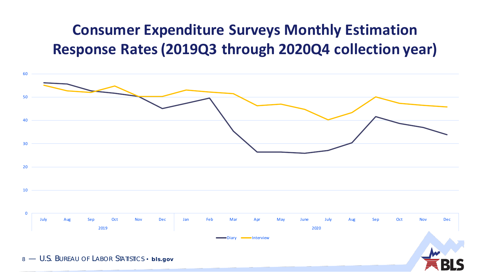### **Consumer Expenditure Surveys Monthly Estimation Response Rates (2019Q3 through 2020Q4 collection year)**

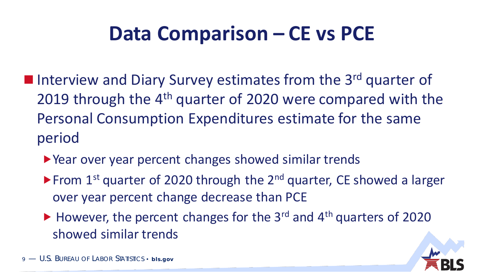### **Data Comparison – CE vs PCE**

- Interview and Diary Survey estimates from the 3<sup>rd</sup> quarter of 2019 through the 4<sup>th</sup> quarter of 2020 were compared with the Personal Consumption Expenditures estimate for the same period
	- ▶ Year over year percent changes showed similar trends
	- From  $1<sup>st</sup>$  quarter of 2020 through the  $2<sup>nd</sup>$  quarter, CE showed a larger over year percent change decrease than PCE
	- $\blacktriangleright$  However, the percent changes for the 3<sup>rd</sup> and 4<sup>th</sup> quarters of 2020 showed similar trends

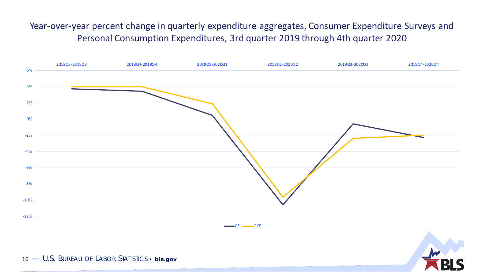Year-over-year percent change in quarterly expenditure aggregates, Consumer Expenditure Surveys and Personal Consumption Expenditures, 3rd quarter 2019 through 4th quarter 2020

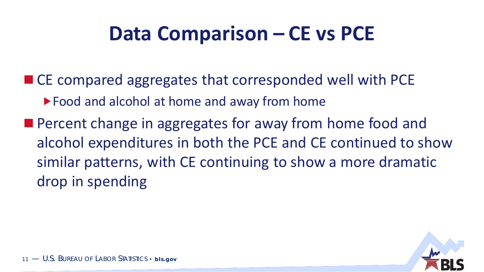### **Data Comparison – CE vs PCE**

■ CE compared aggregates that corresponded well with PCE ▶ Food and alcohol at home and away from home **Percent change in aggregates for away from home food and** alcohol expenditures in both the PCE and CE continued to show similar patterns, with CE continuing to show a more dramatic drop in spending

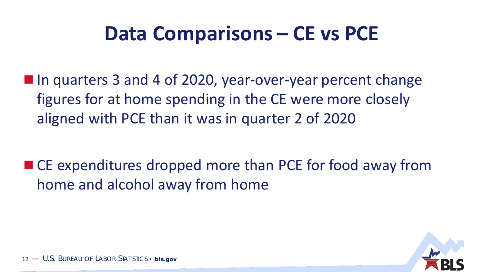### **Data Comparisons – CE vs PCE**

■ In quarters 3 and 4 of 2020, year-over-year percent change figures for at home spending in the CE were more closely aligned with PCE than it was in quarter 2 of 2020

■ CE expenditures dropped more than PCE for food away from home and alcohol away from home

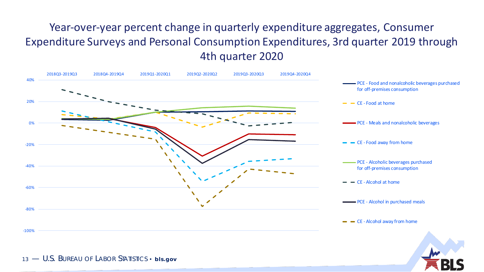#### Year-over-year percent change in quarterly expenditure aggregates, Consumer Expenditure Surveys and Personal Consumption Expenditures, 3rd quarter 2019 through 4th quarter 2020

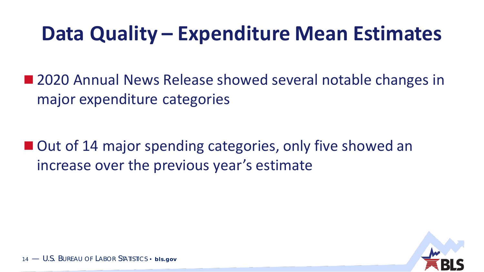### **Data Quality – Expenditure Mean Estimates**

■ 2020 Annual News Release showed several notable changes in major expenditure categories

■ Out of 14 major spending categories, only five showed an increase over the previous year's estimate

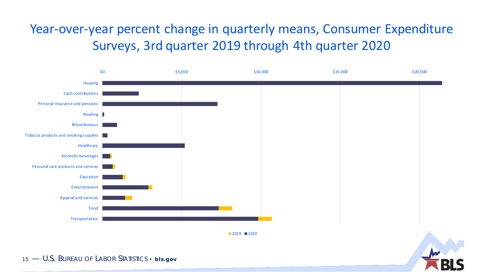### Year-over-year percent change in quarterly means, Consumer Expenditure Surveys, 3rd quarter 2019 through 4th quarter 2020

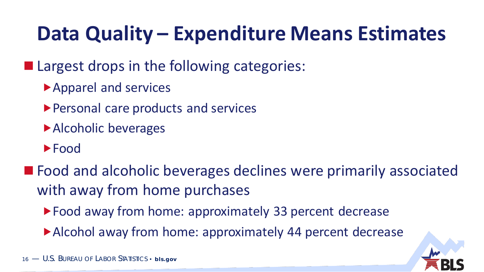# **Data Quality – Expenditure Means Estimates**

### ■ Largest drops in the following categories:

- ▶ Apparel and services
- Personal care products and services
- ▶ Alcoholic beverages
- **Food**
- **Food and alcoholic beverages declines were primarily associated** with away from home purchases
	- ▶ Food away from home: approximately 33 percent decrease
	- ▶ Alcohol away from home: approximately 44 percent decrease

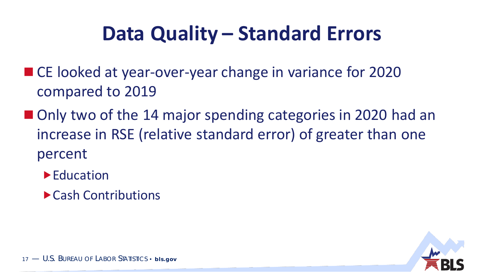### **Data Quality – Standard Errors**

- CE looked at year-over-year change in variance for 2020 compared to 2019
- Only two of the 14 major spending categories in 2020 had an increase in RSE (relative standard error) of greater than one percent
	- ▶ Education
	- Cash Contributions

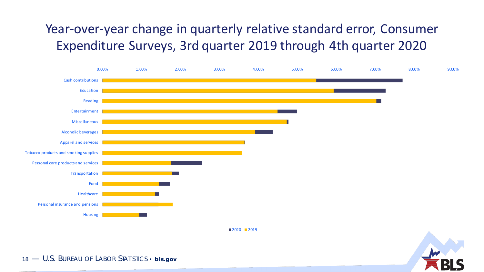### Year-over-year change in quarterly relative standard error, Consumer Expenditure Surveys, 3rd quarter 2019 through 4th quarter 2020



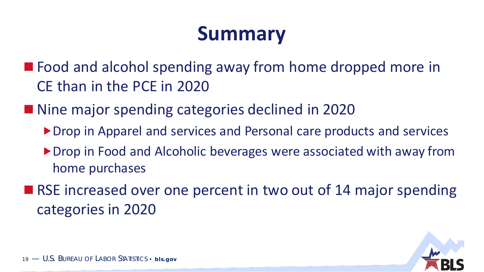## **Summary**

■ Food and alcohol spending away from home dropped more in CE than in the PCE in 2020

■ Nine major spending categories declined in 2020

- ▶ Drop in Apparel and services and Personal care products and services
- ▶ Drop in Food and Alcoholic beverages were associated with away from home purchases
- RSE increased over one percent in two out of 14 major spending categories in 2020

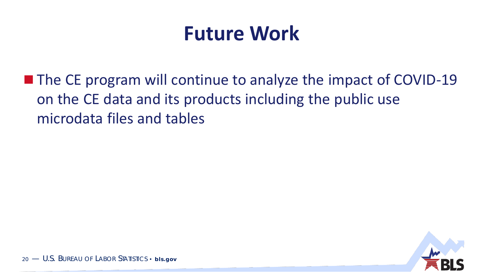### **Future Work**

■ The CE program will continue to analyze the impact of COVID-19 on the CE data and its products including the public use microdata files and tables